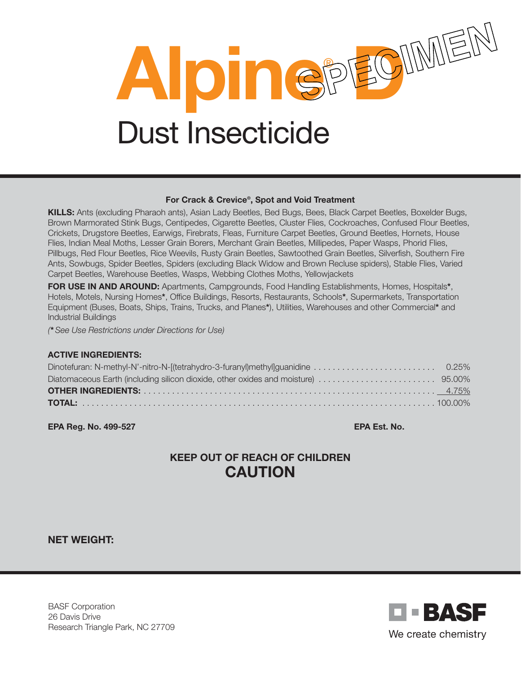

#### For Crack & Crevice®, Spot and Void Treatment

KILLS: Ants (excluding Pharaoh ants), Asian Lady Beetles, Bed Bugs, Bees, Black Carpet Beetles, Boxelder Bugs, Brown Marmorated Stink Bugs, Centipedes, Cigarette Beetles, Cluster Flies, Cockroaches, Confused Flour Beetles, Crickets, Drugstore Beetles, Earwigs, Firebrats, Fleas, Furniture Carpet Beetles, Ground Beetles, Hornets, House Flies, Indian Meal Moths, Lesser Grain Borers, Merchant Grain Beetles, Millipedes, Paper Wasps, Phorid Flies, Pillbugs, Red Flour Beetles, Rice Weevils, Rusty Grain Beetles, Sawtoothed Grain Beetles, Silverfish, Southern Fire Ants, Sowbugs, Spider Beetles, Spiders (excluding Black Widow and Brown Recluse spiders), Stable Flies, Varied Carpet Beetles, Warehouse Beetles, Wasps, Webbing Clothes Moths, Yellowjackets

FOR USE IN AND AROUND: Apartments, Campgrounds, Food Handling Establishments, Homes, Hospitals\*, Hotels, Motels, Nursing Homes\*, Office Buildings, Resorts, Restaurants, Schools\*, Supermarkets, Transportation Equipment (Buses, Boats, Ships, Trains, Trucks, and Planes\*), Utilities, Warehouses and other Commercial\* and Industrial Buildings

*(*\**See Use Restrictions under Directions for Use)*

#### ACTIVE INGREDIENTS:

EPA Reg. No. 499-527 EPA Est. No.

# KEEP OUT OF REACH OF CHILDREN CAUTION

NET WEIGHT:

BASF Corporation 26 Davis Drive Research Triangle Park, NC 27709

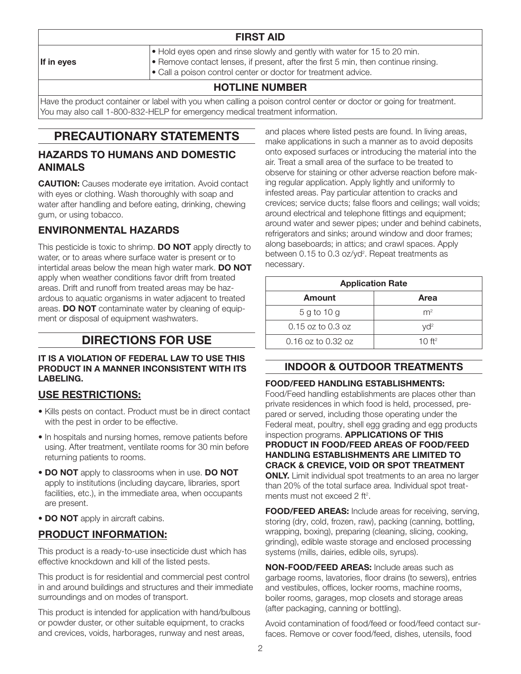| <b>FIRST AID</b> |                                                                                                                                                                                                                                                   |  |
|------------------|---------------------------------------------------------------------------------------------------------------------------------------------------------------------------------------------------------------------------------------------------|--|
| If in eyes       | $\bullet$ Hold eyes open and rinse slowly and gently with water for 15 to 20 min.<br>$\bullet$ Remove contact lenses, if present, after the first 5 min, then continue rinsing.<br>• Call a poison control center or doctor for treatment advice. |  |
|                  | LIATI INF NILIMADED                                                                                                                                                                                                                               |  |

## HOTLINE NUMBER

Have the product container or label with you when calling a poison control center or doctor or going for treatment. You may also call 1-800-832-HELP for emergency medical treatment information.

# PRECAUTIONARY STATEMENTS

#### HAZARDS TO HUMANS AND DOMESTIC ANIMALS

**CAUTION:** Causes moderate eve irritation. Avoid contact with eyes or clothing. Wash thoroughly with soap and water after handling and before eating, drinking, chewing gum, or using tobacco.

### ENVIRONMENTAL HAZARDS

This pesticide is toxic to shrimp. **DO NOT** apply directly to water, or to areas where surface water is present or to intertidal areas below the mean high water mark. DO NOT apply when weather conditions favor drift from treated areas. Drift and runoff from treated areas may be hazardous to aquatic organisms in water adjacent to treated areas. DO NOT contaminate water by cleaning of equipment or disposal of equipment washwaters.

# DIRECTIONS FOR USE

#### IT IS A VIOLATION OF FEDERAL LAW TO USE THIS PRODUCT IN A MANNER INCONSISTENT WITH ITS LABELING.

### USE RESTRICTIONS:

- Kills pests on contact. Product must be in direct contact with the pest in order to be effective.
- In hospitals and nursing homes, remove patients before using. After treatment, ventilate rooms for 30 min before returning patients to rooms.
- DO NOT apply to classrooms when in use. DO NOT apply to institutions (including daycare, libraries, sport facilities, etc.), in the immediate area, when occupants are present.
- DO NOT apply in aircraft cabins.

## PRODUCT INFORMATION:

This product is a ready-to-use insecticide dust which has effective knockdown and kill of the listed pests.

This product is for residential and commercial pest control in and around buildings and structures and their immediate surroundings and on modes of transport.

This product is intended for application with hand/bulbous or powder duster, or other suitable equipment, to cracks and crevices, voids, harborages, runway and nest areas,

and places where listed pests are found. In living areas, make applications in such a manner as to avoid deposits onto exposed surfaces or introducing the material into the air. Treat a small area of the surface to be treated to observe for staining or other adverse reaction before making regular application. Apply lightly and uniformly to infested areas. Pay particular attention to cracks and crevices; service ducts; false floors and ceilings; wall voids; around electrical and telephone fittings and equipment; around water and sewer pipes; under and behind cabinets, refrigerators and sinks; around window and door frames; along baseboards; in attics; and crawl spaces. Apply between 0.15 to 0.3 oz/yd<sup>2</sup>. Repeat treatments as necessary.

| <b>Application Rate</b> |                |  |  |
|-------------------------|----------------|--|--|
| Amount                  | Area           |  |  |
| 5 g to 10 g             | m <sup>2</sup> |  |  |
| $0.15$ oz to $0.3$ oz   | $Vd^2$         |  |  |
| $0.16$ oz to $0.32$ oz  | 10 $ft^2$      |  |  |

### INDOOR & OUTDOOR TREATMENTS

#### FOOD/FEED HANDLING ESTABLISHMENTS:

Food/Feed handling establishments are places other than private residences in which food is held, processed, prepared or served, including those operating under the Federal meat, poultry, shell egg grading and egg products inspection programs. APPLICATIONS OF THIS PRODUCT IN FOOD/FEED AREAS OF FOOD/FEED HANDLING ESTABLISHMENTS ARE LIMITED TO CRACK & CREVICE, VOID OR SPOT TREATMENT **ONLY.** Limit individual spot treatments to an area no larger than 20% of the total surface area. Individual spot treatments must not exceed 2 ft<sup>2</sup>.

FOOD/FEED AREAS: Include areas for receiving, serving, storing (dry, cold, frozen, raw), packing (canning, bottling, wrapping, boxing), preparing (cleaning, slicing, cooking, grinding), edible waste storage and enclosed processing systems (mills, dairies, edible oils, syrups).

NON-FOOD/FEED AREAS: Include areas such as garbage rooms, lavatories, floor drains (to sewers), entries and vestibules, offices, locker rooms, machine rooms, boiler rooms, garages, mop closets and storage areas (after packaging, canning or bottling).

Avoid contamination of food/feed or food/feed contact surfaces. Remove or cover food/feed, dishes, utensils, food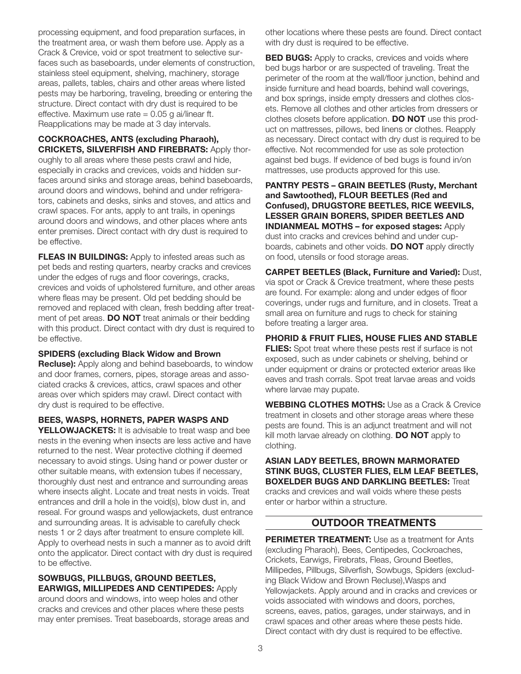processing equipment, and food preparation surfaces, in the treatment area, or wash them before use. Apply as a Crack & Crevice, void or spot treatment to selective surfaces such as baseboards, under elements of construction, stainless steel equipment, shelving, machinery, storage areas, pallets, tables, chairs and other areas where listed pests may be harboring, traveling, breeding or entering the structure. Direct contact with dry dust is required to be effective. Maximum use rate  $= 0.05$  g ai/linear ft. Reapplications may be made at 3 day intervals.

COCKROACHES, ANTS (excluding Pharaoh), CRICKETS, SILVERFISH AND FIREBRATS: Apply thoroughly to all areas where these pests crawl and hide, especially in cracks and crevices, voids and hidden surfaces around sinks and storage areas, behind baseboards, around doors and windows, behind and under refrigerators, cabinets and desks, sinks and stoves, and attics and crawl spaces. For ants, apply to ant trails, in openings around doors and windows, and other places where ants enter premises. Direct contact with dry dust is required to be effective.

**FLEAS IN BUILDINGS:** Apply to infested areas such as pet beds and resting quarters, nearby cracks and crevices under the edges of rugs and floor coverings, cracks, crevices and voids of upholstered furniture, and other areas where fleas may be present. Old pet bedding should be removed and replaced with clean, fresh bedding after treatment of pet areas. DO NOT treat animals or their bedding with this product. Direct contact with dry dust is required to be effective.

#### SPIDERS (excluding Black Widow and Brown

**Recluse):** Apply along and behind baseboards, to window and door frames, corners, pipes, storage areas and associated cracks & crevices, attics, crawl spaces and other areas over which spiders may crawl. Direct contact with dry dust is required to be effective.

BEES, WASPS, HORNETS, PAPER WASPS AND YELLOWJACKETS: It is advisable to treat wasp and bee nests in the evening when insects are less active and have returned to the nest. Wear protective clothing if deemed necessary to avoid stings. Using hand or power duster or other suitable means, with extension tubes if necessary, thoroughly dust nest and entrance and surrounding areas where insects alight. Locate and treat nests in voids. Treat entrances and drill a hole in the void(s), blow dust in, and reseal. For ground wasps and yellowjackets, dust entrance and surrounding areas. It is advisable to carefully check nests 1 or 2 days after treatment to ensure complete kill. Apply to overhead nests in such a manner as to avoid drift onto the applicator. Direct contact with dry dust is required to be effective.

SOWBUGS, PILLBUGS, GROUND BEETLES, EARWIGS, MILLIPEDES AND CENTIPEDES: Apply

around doors and windows, into weep holes and other cracks and crevices and other places where these pests may enter premises. Treat baseboards, storage areas and

other locations where these pests are found. Direct contact with dry dust is required to be effective.

**BED BUGS:** Apply to cracks, crevices and voids where bed bugs harbor or are suspected of traveling. Treat the perimeter of the room at the wall/floor junction, behind and inside furniture and head boards, behind wall coverings, and box springs, inside empty dressers and clothes closets. Remove all clothes and other articles from dressers or clothes closets before application. **DO NOT** use this product on mattresses, pillows, bed linens or clothes. Reapply as necessary. Direct contact with dry dust is required to be effective. Not recommended for use as sole protection against bed bugs. If evidence of bed bugs is found in/on mattresses, use products approved for this use.

PANTRY PESTS – GRAIN BEETLES (Rusty, Merchant and Sawtoothed), FLOUR BEETLES (Red and Confused), DRUGSTORE BEETLES, RICE WEEVILS, LESSER GRAIN BORERS, SPIDER BEETLES AND INDIANMEAL MOTHS – for exposed stages: Apply dust into cracks and crevices behind and under cupboards, cabinets and other voids. DO NOT apply directly on food, utensils or food storage areas.

CARPET BEETLES (Black, Furniture and Varied): Dust, via spot or Crack & Crevice treatment, where these pests are found. For example: along and under edges of floor coverings, under rugs and furniture, and in closets. Treat a small area on furniture and rugs to check for staining before treating a larger area.

PHORID & FRUIT FLIES, HOUSE FLIES AND STABLE **FLIES:** Spot treat where these pests rest if surface is not exposed, such as under cabinets or shelving, behind or under equipment or drains or protected exterior areas like eaves and trash corrals. Spot treat larvae areas and voids where larvae may pupate.

WEBBING CLOTHES MOTHS: Use as a Crack & Crevice treatment in closets and other storage areas where these pests are found. This is an adjunct treatment and will not kill moth larvae already on clothing. **DO NOT** apply to clothing.

ASIAN LADY BEETLES, BROWN MARMORATED STINK BUGS, CLUSTER FLIES, ELM LEAF BEETLES, **BOXELDER BUGS AND DARKLING BEETLES: Treat** cracks and crevices and wall voids where these pests enter or harbor within a structure.

### OUTDOOR TREATMENTS

**PERIMETER TREATMENT:** Use as a treatment for Ants (excluding Pharaoh), Bees, Centipedes, Cockroaches, Crickets, Earwigs, Firebrats, Fleas, Ground Beetles, Millipedes, Pillbugs, Silverfish, Sowbugs, Spiders (excluding Black Widow and Brown Recluse),Wasps and Yellowjackets. Apply around and in cracks and crevices or voids associated with windows and doors, porches, screens, eaves, patios, garages, under stairways, and in crawl spaces and other areas where these pests hide. Direct contact with dry dust is required to be effective.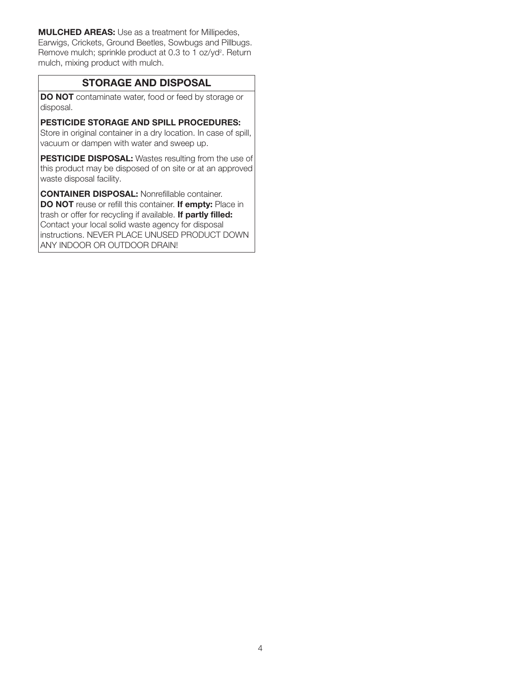MULCHED AREAS: Use as a treatment for Millipedes, Earwigs, Crickets, Ground Beetles, Sowbugs and Pillbugs. Remove mulch; sprinkle product at 0.3 to 1 oz/yd<sup>2</sup>. Return mulch, mixing product with mulch.

#### STORAGE AND DISPOSAL

DO NOT contaminate water, food or feed by storage or disposal.

#### PESTICIDE STORAGE AND SPILL PROCEDURES:

Store in original container in a dry location. In case of spill, vacuum or dampen with water and sweep up.

PESTICIDE DISPOSAL: Wastes resulting from the use of this product may be disposed of on site or at an approved waste disposal facility.

CONTAINER DISPOSAL: Nonrefillable container. DO NOT reuse or refill this container. If empty: Place in trash or offer for recycling if available. If partly filled: Contact your local solid waste agency for disposal instructions. NEVER PLACE UNUSED PRODUCT DOWN ANY INDOOR OR OUTDOOR DRAIN!